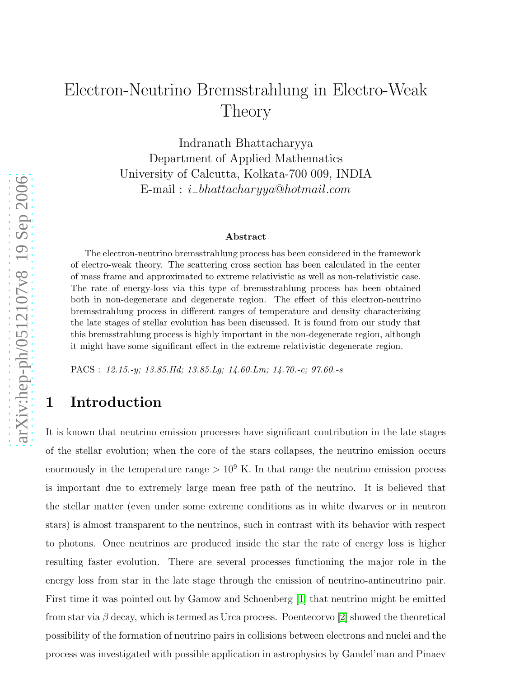# Electron-Neutrino Bremsstrahlung in Electro-Weak Theory

Indranath Bhattacharyya Department of Applied Mathematics University of Calcutta, Kolkata-700 009, INDIA  $\text{E-mail}: i\_bhattacharyya@hotmail.com$ 

#### Abstract

The electron-neutrino bremsstrahlung process has been considered in the framework of electro-weak theory. The scattering cross section has been calculated in the center of mass frame and approximated to extreme relativistic as well as non-relativistic case. The rate of energy-loss via this type of bremsstrahlung process has been obtained both in non-degenerate and degenerate region. The effect of this electron-neutrino bremsstrahlung process in different ranges of temperature and density characterizing the late stages of stellar evolution has been discussed. It is found from our study that this bremsstrahlung process is highly important in the non-degenerate region, although it might have some significant effect in the extreme relativistic degenerate region.

PACS : 12.15.-y; 13.85.Hd; 13.85.Lg; 14.60.Lm; 14.70.-e; 97.60.-s

### 1 Introduction

It is known that neutrino emission processes have significant contribution in the late stages of the stellar evolution; when the core of the stars collapses, the neutrino emission occurs enormously in the temperature range  $> 10<sup>9</sup>$  K. In that range the neutrino emission process is important due to extremely large mean free path of the neutrino. It is believed that the stellar matter (even under some extreme conditions as in white dwarves or in neutron stars) is almost transparent to the neutrinos, such in contrast with its behavior with respect to photons. Once neutrinos are produced inside the star the rate of energy loss is higher resulting faster evolution. There are several processes functioning the major role in the energy loss from star in the late stage through the emission of neutrino-antineutrino pair. First time it was pointed out by Gamow and Schoenberg [\[1\]](#page-10-0) that neutrino might be emitted from star via  $\beta$  decay, which is termed as Urca process. Poentecorvo [\[2\]](#page-11-0) showed the theoretical possibility of the formation of neutrino pairs in collisions between electrons and nuclei and the process was investigated with possible application in astrophysics by Gandel'man and Pinaev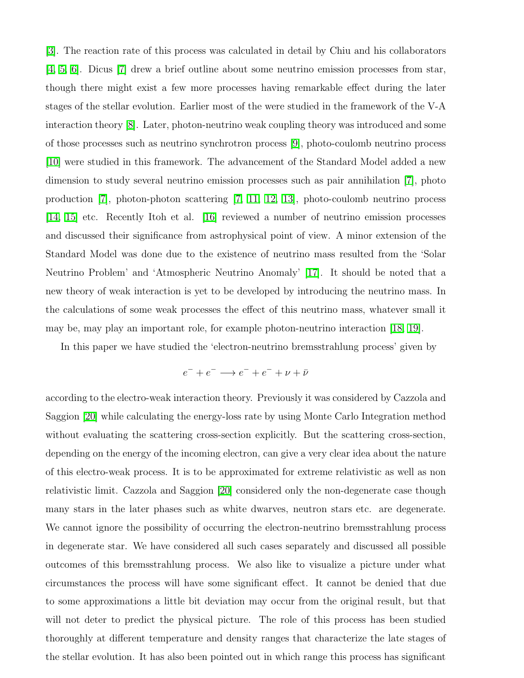[\[3\]](#page-11-1). The reaction rate of this process was calculated in detail by Chiu and his collaborators [\[4,](#page-11-2) [5,](#page-11-3) [6\]](#page-11-4). Dicus [\[7\]](#page-11-5) drew a brief outline about some neutrino emission processes from star, though there might exist a few more processes having remarkable effect during the later stages of the stellar evolution. Earlier most of the were studied in the framework of the V-A interaction theory [\[8\]](#page-11-6). Later, photon-neutrino weak coupling theory was introduced and some of those processes such as neutrino synchrotron process [\[9\]](#page-11-7), photo-coulomb neutrino process [\[10\]](#page-11-8) were studied in this framework. The advancement of the Standard Model added a new dimension to study several neutrino emission processes such as pair annihilation [\[7\]](#page-11-5), photo production [\[7\]](#page-11-5), photon-photon scattering [\[7,](#page-11-5) [11,](#page-11-9) [12,](#page-11-10) [13\]](#page-11-11), photo-coulomb neutrino process [\[14,](#page-11-12) [15\]](#page-11-13) etc. Recently Itoh et al. [\[16\]](#page-11-14) reviewed a number of neutrino emission processes and discussed their significance from astrophysical point of view. A minor extension of the Standard Model was done due to the existence of neutrino mass resulted from the 'Solar Neutrino Problem' and 'Atmospheric Neutrino Anomaly' [\[17\]](#page-11-15). It should be noted that a new theory of weak interaction is yet to be developed by introducing the neutrino mass. In the calculations of some weak processes the effect of this neutrino mass, whatever small it may be, may play an important role, for example photon-neutrino interaction [\[18,](#page-11-16) [19\]](#page-11-17).

In this paper we have studied the 'electron-neutrino bremsstrahlung process' given by

$$
e^- + e^- \longrightarrow e^- + e^- + \nu + \bar{\nu}
$$

according to the electro-weak interaction theory. Previously it was considered by Cazzola and Saggion [\[20\]](#page-11-18) while calculating the energy-loss rate by using Monte Carlo Integration method without evaluating the scattering cross-section explicitly. But the scattering cross-section, depending on the energy of the incoming electron, can give a very clear idea about the nature of this electro-weak process. It is to be approximated for extreme relativistic as well as non relativistic limit. Cazzola and Saggion [\[20\]](#page-11-18) considered only the non-degenerate case though many stars in the later phases such as white dwarves, neutron stars etc. are degenerate. We cannot ignore the possibility of occurring the electron-neutrino bremsstrahlung process in degenerate star. We have considered all such cases separately and discussed all possible outcomes of this bremsstrahlung process. We also like to visualize a picture under what circumstances the process will have some significant effect. It cannot be denied that due to some approximations a little bit deviation may occur from the original result, but that will not deter to predict the physical picture. The role of this process has been studied thoroughly at different temperature and density ranges that characterize the late stages of the stellar evolution. It has also been pointed out in which range this process has significant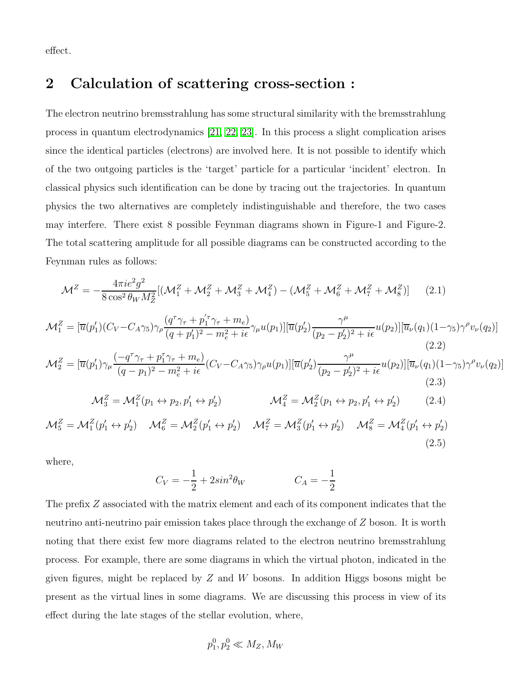effect.

#### 2 Calculation of scattering cross-section :

The electron neutrino bremsstrahlung has some structural similarity with the bremsstrahlung process in quantum electrodynamics [\[21,](#page-11-19) [22,](#page-11-20) [23\]](#page-12-0). In this process a slight complication arises since the identical particles (electrons) are involved here. It is not possible to identify which of the two outgoing particles is the 'target' particle for a particular 'incident' electron. In classical physics such identification can be done by tracing out the trajectories. In quantum physics the two alternatives are completely indistinguishable and therefore, the two cases may interfere. There exist 8 possible Feynman diagrams shown in Figure-1 and Figure-2. The total scattering amplitude for all possible diagrams can be constructed according to the Feynman rules as follows:

$$
\mathcal{M}^{Z} = -\frac{4\pi i e^{2} g^{2}}{8 \cos^{2} \theta_{W} M_{Z}^{2}} [(\mathcal{M}_{1}^{Z} + \mathcal{M}_{2}^{Z} + \mathcal{M}_{3}^{Z} + \mathcal{M}_{4}^{Z}) - (\mathcal{M}_{5}^{Z} + \mathcal{M}_{6}^{Z} + \mathcal{M}_{7}^{Z} + \mathcal{M}_{8}^{Z})] \qquad (2.1)
$$
  
\n
$$
\mathcal{M}_{1}^{Z} = [\overline{u}(p_{1}')(C_{V} - C_{A}\gamma_{5})\gamma_{\rho} \frac{(q^{\tau}\gamma_{\tau} + p_{1}^{\prime\tau}\gamma_{\tau} + m_{e})}{(q + p_{1}^{\prime})^{2} - m_{e}^{2} + i\epsilon} \gamma_{\mu} u(p_{1})] [\overline{u}(p_{2}') \frac{\gamma^{\mu}}{(p_{2} - p_{2}^{\prime})^{2} + i\epsilon} u(p_{2})] [\overline{u}_{\nu}(q_{1})(1 - \gamma_{5})\gamma^{\rho} v_{\nu}(q_{2})]
$$
\n
$$
\mathcal{M}_{2}^{Z} = [\overline{u}(p_{1}')\gamma_{\mu} \frac{(-q^{\tau}\gamma_{\tau} + p_{1}^{\tau}\gamma_{\tau} + m_{e})}{(q - p_{1})^{2} - m_{e}^{2} + i\epsilon} (C_{V} - C_{A}\gamma_{5})\gamma_{\rho} u(p_{1})] [\overline{u}(p_{2}') \frac{\gamma^{\mu}}{(p_{2} - p_{2}')^{2} + i\epsilon} u(p_{2})] [\overline{u}_{\nu}(q_{1})(1 - \gamma_{5})\gamma^{\rho} v_{\nu}(q_{2})]
$$
\n
$$
\mathcal{M}_{3}^{Z} = \mathcal{M}_{1}^{Z}(p_{1} \leftrightarrow p_{2}, p_{1}' \leftrightarrow p_{2}') \qquad \mathcal{M}_{4}^{Z} = \mathcal{M}_{2}^{Z}(p_{1} \leftrightarrow p_{2}, p_{1}' \leftrightarrow p_{2}') \qquad (2.4)
$$

$$
\mathcal{M}_5^Z = \mathcal{M}_1^Z(p_1' \leftrightarrow p_2') \quad \mathcal{M}_6^Z = \mathcal{M}_2^Z(p_1' \leftrightarrow p_2') \quad \mathcal{M}_7^Z = \mathcal{M}_3^Z(p_1' \leftrightarrow p_2') \quad \mathcal{M}_8^Z = \mathcal{M}_4^Z(p_1' \leftrightarrow p_2')
$$
\n
$$
(2.5)
$$

where,

$$
C_V = -\frac{1}{2} + 2\sin^2\theta_W \qquad C_A = -\frac{1}{2}
$$

The prefix Z associated with the matrix element and each of its component indicates that the neutrino anti-neutrino pair emission takes place through the exchange of Z boson. It is worth noting that there exist few more diagrams related to the electron neutrino bremsstrahlung process. For example, there are some diagrams in which the virtual photon, indicated in the given figures, might be replaced by  $Z$  and  $W$  bosons. In addition Higgs bosons might be present as the virtual lines in some diagrams. We are discussing this process in view of its effect during the late stages of the stellar evolution, where,

$$
p_1^0, p_2^0 \ll M_Z, M_W
$$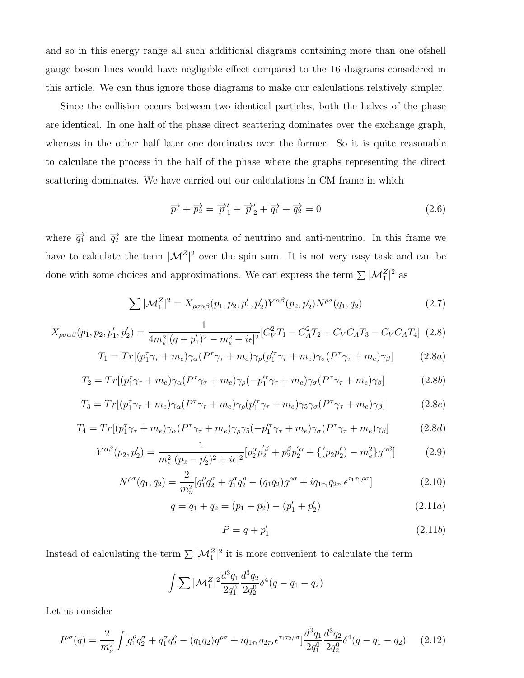and so in this energy range all such additional diagrams containing more than one ofshell gauge boson lines would have negligible effect compared to the 16 diagrams considered in this article. We can thus ignore those diagrams to make our calculations relatively simpler.

Since the collision occurs between two identical particles, both the halves of the phase are identical. In one half of the phase direct scattering dominates over the exchange graph, whereas in the other half later one dominates over the former. So it is quite reasonable to calculate the process in the half of the phase where the graphs representing the direct scattering dominates. We have carried out our calculations in CM frame in which

$$
\overrightarrow{p_1} + \overrightarrow{p_2} = \overrightarrow{p}_1' + \overrightarrow{p}_2' + \overrightarrow{q_1} + \overrightarrow{q_2} = 0 \qquad (2.6)
$$

where  $\overrightarrow{q_1}$  and  $\overrightarrow{q_2}$  are the linear momenta of neutrino and anti-neutrino. In this frame we have to calculate the term  $|\mathcal{M}^Z|^2$  over the spin sum. It is not very easy task and can be done with some choices and approximations. We can express the term  $\sum |\mathcal{M}_1^Z|^2$  as

$$
\sum |\mathcal{M}_1^Z|^2 = X_{\rho\sigma\alpha\beta}(p_1, p_2, p_1', p_2') Y^{\alpha\beta}(p_2, p_2') N^{\rho\sigma}(q_1, q_2)
$$
\n(2.7)

$$
X_{\rho\sigma\alpha\beta}(p_1, p_2, p'_1, p'_2) = \frac{1}{4m_e^2|(q+p'_1)^2 - m_e^2 + i\epsilon|^2} [C_V^2 T_1 - C_A^2 T_2 + C_V C_A T_3 - C_V C_A T_4]
$$
(2.8)

$$
T_1 = Tr[(p_1^{\tau}\gamma_{\tau} + m_e)\gamma_{\alpha}(P^{\tau}\gamma_{\tau} + m_e)\gamma_{\rho}(p_1^{\prime\tau}\gamma_{\tau} + m_e)\gamma_{\sigma}(P^{\tau}\gamma_{\tau} + m_e)\gamma_{\beta}] \qquad (2.8a)
$$

$$
T_2 = Tr[(p_1^{\tau}\gamma_{\tau} + m_e)\gamma_{\alpha}(P^{\tau}\gamma_{\tau} + m_e)\gamma_{\rho}(-p_1^{\prime\tau}\gamma_{\tau} + m_e)\gamma_{\sigma}(P^{\tau}\gamma_{\tau} + m_e)\gamma_{\beta}]
$$
 (2.8b)

$$
T_3 = Tr\left[ (p_1^{\tau}\gamma_{\tau} + m_e)\gamma_{\alpha} (P^{\tau}\gamma_{\tau} + m_e)\gamma_{\rho} (p_1^{\prime\tau}\gamma_{\tau} + m_e)\gamma_5\gamma_{\sigma} (P^{\tau}\gamma_{\tau} + m_e)\gamma_{\beta} \right]
$$
(2.8c)

$$
T_4 = Tr\left[ (p_1^{\tau}\gamma_{\tau} + m_e)\gamma_{\alpha} (P^{\tau}\gamma_{\tau} + m_e)\gamma_{\rho}\gamma_5 (-p_1^{\prime\tau}\gamma_{\tau} + m_e)\gamma_{\sigma} (P^{\tau}\gamma_{\tau} + m_e)\gamma_{\beta} \right]
$$
(2.8d)

$$
Y^{\alpha\beta}(p_2, p'_2) = \frac{1}{m_e^2 |(p_2 - p'_2)^2 + i\epsilon|^2} [p_2^{\alpha} p'_2^{\beta} + p_2^{\beta} p'_2^{\alpha} + \{(p_2 p'_2) - m_e^2\} g^{\alpha\beta}]
$$
(2.9)

$$
N^{\rho\sigma}(q_1, q_2) = \frac{2}{m_{\nu}^2} [q_1^{\rho} q_2^{\sigma} + q_1^{\sigma} q_2^{\rho} - (q_1 q_2) g^{\rho\sigma} + i q_{1\tau_1} q_{2\tau_2} \epsilon^{\tau_1 \tau_2 \rho\sigma}]
$$
(2.10)

$$
q = q_1 + q_2 = (p_1 + p_2) - (p'_1 + p'_2)
$$
\n(2.11*a*)

$$
P = q + p_1' \tag{2.11b}
$$

Instead of calculating the term  $\sum |\mathcal{M}_1^Z|^2$  it is more convenient to calculate the term

$$
\int \sum |\mathcal{M}_1^Z|^2 \frac{d^3q_1}{2q_1^0} \frac{d^3q_2}{2q_2^0} \delta^4(q - q_1 - q_2)
$$

Let us consider

$$
I^{\rho\sigma}(q) = \frac{2}{m_{\nu}^{2}} \int [q_{1}^{\rho}q_{2}^{\sigma} + q_{1}^{\sigma}q_{2}^{\rho} - (q_{1}q_{2})g^{\rho\sigma} + iq_{1\tau_{1}}q_{2\tau_{2}}\epsilon^{\tau_{1}\tau_{2}\rho\sigma}] \frac{d^{3}q_{1}}{2q_{1}^{0}} \frac{d^{3}q_{2}}{2q_{2}^{0}} \delta^{4}(q - q_{1} - q_{2}) \tag{2.12}
$$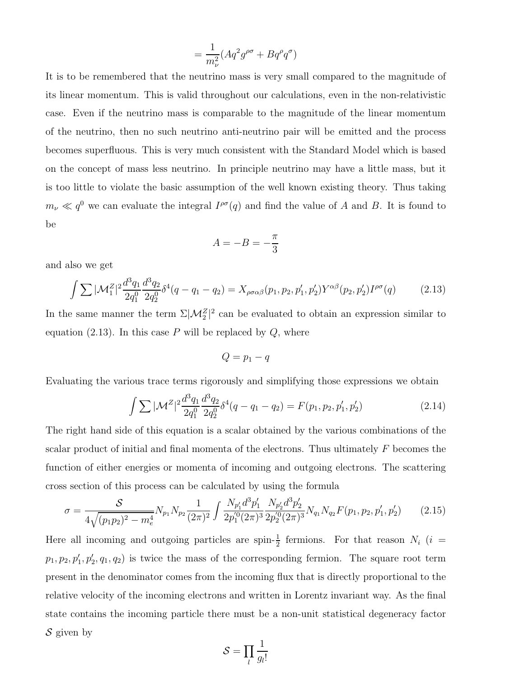$$
= \frac{1}{m_{\nu}^2} (Aq^2 g^{\rho \sigma} + Bq^{\rho} q^{\sigma})
$$

It is to be remembered that the neutrino mass is very small compared to the magnitude of its linear momentum. This is valid throughout our calculations, even in the non-relativistic case. Even if the neutrino mass is comparable to the magnitude of the linear momentum of the neutrino, then no such neutrino anti-neutrino pair will be emitted and the process becomes superfluous. This is very much consistent with the Standard Model which is based on the concept of mass less neutrino. In principle neutrino may have a little mass, but it is too little to violate the basic assumption of the well known existing theory. Thus taking  $m_{\nu} \ll q^0$  we can evaluate the integral  $I^{\rho\sigma}(q)$  and find the value of A and B. It is found to be

$$
A = -B = -\frac{\pi}{3}
$$

and also we get

$$
\int \sum |\mathcal{M}_1^Z|^2 \frac{d^3 q_1}{2q_1^0} \frac{d^3 q_2}{2q_2^0} \delta^4(q - q_1 - q_2) = X_{\rho \sigma \alpha \beta}(p_1, p_2, p_1', p_2') Y^{\alpha \beta}(p_2, p_2') I^{\rho \sigma}(q) \tag{2.13}
$$

In the same manner the term  $\Sigma |{\cal M}_2^Z|^2$  can be evaluated to obtain an expression similar to equation (2.13). In this case  $P$  will be replaced by  $Q$ , where

$$
Q=p_1-q
$$

Evaluating the various trace terms rigorously and simplifying those expressions we obtain

$$
\int \sum |\mathcal{M}^Z|^2 \frac{d^3 q_1}{2q_1^0} \frac{d^3 q_2}{2q_2^0} \delta^4(q - q_1 - q_2) = F(p_1, p_2, p_1', p_2')
$$
 (2.14)

The right hand side of this equation is a scalar obtained by the various combinations of the scalar product of initial and final momenta of the electrons. Thus ultimately  $F$  becomes the function of either energies or momenta of incoming and outgoing electrons. The scattering cross section of this process can be calculated by using the formula

$$
\sigma = \frac{S}{4\sqrt{(p_1p_2)^2 - m_e^4}} N_{p_1} N_{p_2} \frac{1}{(2\pi)^2} \int \frac{N_{p'_1} d^3 p'_1}{2p'_1 (2\pi)^3} \frac{N_{p'_2} d^3 p'_2}{2p'_2 (2\pi)^3} N_{q_1} N_{q_2} F(p_1, p_2, p'_1, p'_2)
$$
(2.15)

Here all incoming and outgoing particles are spin- $\frac{1}{2}$  fermions. For that reason  $N_i$  (i =  $p_1, p_2, p'_1, p'_2, q_1, q_2$  is twice the mass of the corresponding fermion. The square root term present in the denominator comes from the incoming flux that is directly proportional to the relative velocity of the incoming electrons and written in Lorentz invariant way. As the final state contains the incoming particle there must be a non-unit statistical degeneracy factor  $S$  given by

$$
\mathcal{S} = \prod_l \frac{1}{g_l!}
$$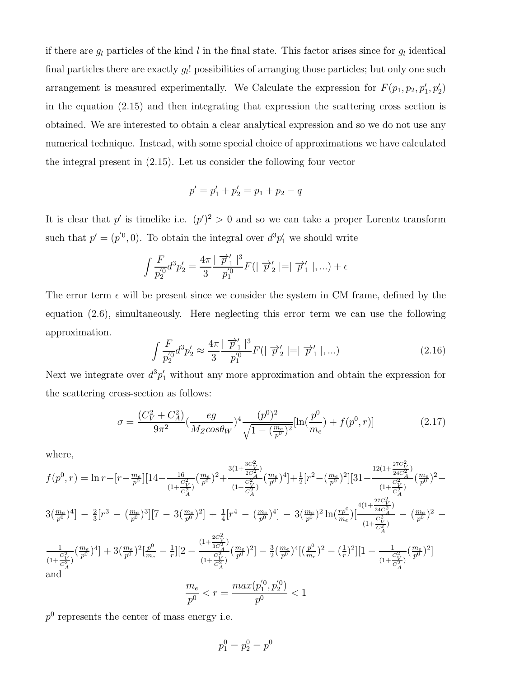if there are  $g_l$  particles of the kind l in the final state. This factor arises since for  $g_l$  identical final particles there are exactly  $g_l!$  possibilities of arranging those particles; but only one such arrangement is measured experimentally. We Calculate the expression for  $F(p_1, p_2, p'_1, p'_2)$ in the equation (2.15) and then integrating that expression the scattering cross section is obtained. We are interested to obtain a clear analytical expression and so we do not use any numerical technique. Instead, with some special choice of approximations we have calculated the integral present in (2.15). Let us consider the following four vector

$$
p' = p_1' + p_2' = p_1 + p_2 - q
$$

It is clear that p' is timelike i.e.  $(p')^2 > 0$  and so we can take a proper Lorentz transform such that  $p' = (p'^0, 0)$ . To obtain the integral over  $d^3p'_1$  we should write

$$
\int \frac{F}{p_2^{'0}} d^3 p_2' = \frac{4\pi}{3} \frac{|\overrightarrow{p}_1'|^3}{p_1^{'0}} F(|\overrightarrow{p}_2'| = |\overrightarrow{p}_1'|,...) + \epsilon
$$

The error term  $\epsilon$  will be present since we consider the system in CM frame, defined by the equation (2.6), simultaneously. Here neglecting this error term we can use the following approximation.

$$
\int \frac{F}{p_2'^0} d^3 p_2' \approx \frac{4\pi}{3} \frac{|\vec{p}_1'|^3}{p_1'^0} F(|\vec{p}_2'| = |\vec{p}_1'|,...)
$$
\n(2.16)

Next we integrate over  $d^3p'_1$  without any more approximation and obtain the expression for the scattering cross-section as follows:

$$
\sigma = \frac{(C_V^2 + C_A^2)}{9\pi^2} \left(\frac{eg}{M_Z \cos\theta_W}\right)^4 \frac{(p^0)^2}{\sqrt{1 - \left(\frac{m_e}{p^0}\right)^2}} [\ln(\frac{p^0}{m_e}) + f(p^0, r)] \tag{2.17}
$$

where,

$$
f(p^{0},r) = \ln r - [r - \frac{m_{e}}{p^{0}}][14 - \frac{16}{(1 + \frac{C_{V}^{2}}{C_{A}^{2}})}(\frac{m_{e}}{p^{0}})^{2} + \frac{3(1 + \frac{3C_{V}^{2}}{2C_{A}^{2}})}{(1 + \frac{C_{V}^{2}}{C_{A}^{2}})}(\frac{m_{e}}{p^{0}})^{4}] + \frac{1}{2}[r^{2} - (\frac{m_{e}}{p^{0}})^{2}][31 - \frac{12(1 + \frac{27C_{V}^{2}}{24C_{A}^{2}})}{(1 + \frac{C_{V}^{2}}{C_{A}^{2}})}(\frac{m_{e}}{p^{0}})^{2} - \frac{3\left(\frac{m_{e}}{p^{0}}\right)^{4}}{1 - \frac{2}{3}[r^{3} - (\frac{m_{e}}{p^{0}})^{3}][7 - 3(\frac{m_{e}}{p^{0}})^{2}] + \frac{1}{4}[r^{4} - (\frac{m_{e}}{p^{0}})^{4}] - 3(\frac{m_{e}}{p^{0}})^{2}\ln(\frac{r p^{0}}{p^{0}})\left[\frac{4(1 + \frac{27C_{V}^{2}}{24C_{A}^{2}})}{(1 + \frac{C_{V}^{2}}{C_{A}^{2}})} - (\frac{m_{e}}{p^{0}})^{2} - \frac{1}{(1 + \frac{C_{V}^{2}}{C_{A}^{2}})}(\frac{m_{e}}{p^{0}})^{2}\right] + \frac{1}{4}[r^{4} - (\frac{m_{e}}{p^{0}})^{4}] - 3(\frac{m_{e}}{p^{0}})^{2}\ln(\frac{r p^{0}}{m_{e}})\left[\frac{4(1 + \frac{27C_{V}^{2}}{24C_{A}^{2}})}{(1 + \frac{C_{V}^{2}}{C_{A}^{2}})} - (\frac{m_{e}}{p^{0}})^{2} - \frac{1}{(1 + \frac{C_{V}^{2}}{C_{A}^{2}})}(\frac{m_{e}}{p^{0}})^{2}\right] - \frac{3\left(\frac{m_{e}}{p^{0}}\right)^{4}\left[(\frac{p^{0}}{m_{e}})^{2} - (\frac{1}{r})^{2}\right]\left[1 - \frac{1}{(1 + \frac{C_{V}^{2}}{C
$$

 $p<sup>0</sup>$  represents the center of mass energy i.e.

$$
p_1^0 = p_2^0 = p^0
$$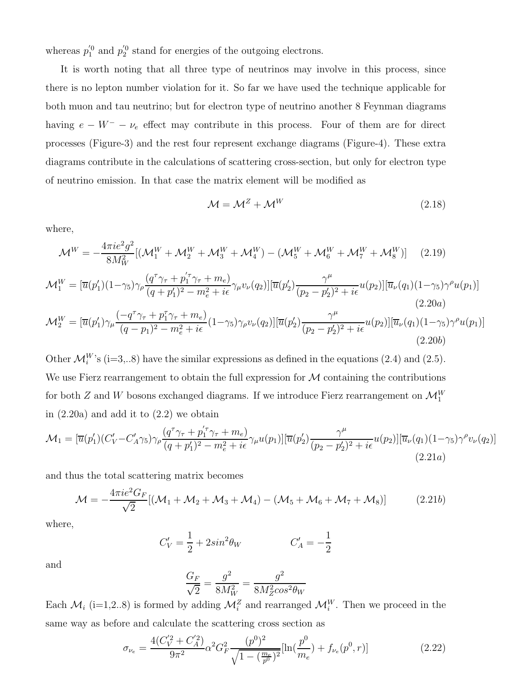whereas  $p_1^{'0}$  and  $p_2^{'0}$  stand for energies of the outgoing electrons.

It is worth noting that all three type of neutrinos may involve in this process, since there is no lepton number violation for it. So far we have used the technique applicable for both muon and tau neutrino; but for electron type of neutrino another 8 Feynman diagrams having  $e - W^- - \nu_e$  effect may contribute in this process. Four of them are for direct processes (Figure-3) and the rest four represent exchange diagrams (Figure-4). These extra diagrams contribute in the calculations of scattering cross-section, but only for electron type of neutrino emission. In that case the matrix element will be modified as

$$
\mathcal{M} = \mathcal{M}^Z + \mathcal{M}^W \tag{2.18}
$$

 $(2.20b)$ 

where,

$$
\mathcal{M}^{W} = -\frac{4\pi i e^2 g^2}{8M_W^2} [(\mathcal{M}_1^W + \mathcal{M}_2^W + \mathcal{M}_3^W + \mathcal{M}_4^W) - (\mathcal{M}_5^W + \mathcal{M}_6^W + \mathcal{M}_7^W + \mathcal{M}_8^W)] \tag{2.19}
$$

$$
\mathcal{M}_{1}^{W} = [\overline{u}(p'_{1})(1-\gamma_{5})\gamma_{\rho}\frac{(q^{\tau}\gamma_{\tau} + p'_{1}\gamma_{\tau} + m_{e})}{(q+p'_{1})^{2} - m_{e}^{2} + i\epsilon}\gamma_{\mu}v_{\nu}(q_{2})] [\overline{u}(p'_{2})\frac{\gamma^{\mu}}{(p_{2} - p'_{2})^{2} + i\epsilon}u(p_{2})][\overline{u}_{\nu}(q_{1})(1-\gamma_{5})\gamma^{\rho}u(p_{1})]
$$
\n
$$
\mathcal{M}_{2}^{W} = [\overline{u}(p'_{1})\gamma_{\mu}\frac{(-q^{\tau}\gamma_{\tau} + p_{1}^{\tau}\gamma_{\tau} + m_{e})}{(q-p_{1})^{2} - m_{e}^{2} + i\epsilon}(1-\gamma_{5})\gamma_{\rho}v_{\nu}(q_{2})][\overline{u}(p'_{2})\frac{\gamma^{\mu}}{(p_{2} - p'_{2})^{2} + i\epsilon}u(p_{2})][\overline{u}_{\nu}(q_{1})(1-\gamma_{5})\gamma^{\rho}u(p_{1})]
$$
\n(2.20a)

Other  $\mathcal{M}_i^W$ 's (i=3,..8) have the similar expressions as defined in the equations (2.4) and (2.5). We use Fierz rearrangement to obtain the full expression for  $M$  containing the contributions for both  $Z$  and  $W$  bosons exchanged diagrams. If we introduce Fierz rearrangement on  $\mathcal{M}_{1}^{W}$ in  $(2.20a)$  and add it to  $(2.2)$  we obtain

$$
\mathcal{M}_1 = [\overline{u}(p'_1)(C'_V - C'_A \gamma_5)\gamma_\rho \frac{(q^\tau \gamma_\tau + p'_1 \gamma_\tau + m_e)}{(q + p'_1)^2 - m_e^2 + i\epsilon} \gamma_\mu u(p_1)][\overline{u}(p'_2)\frac{\gamma^\mu}{(p_2 - p'_2)^2 + i\epsilon} u(p_2)][\overline{u}_\nu(q_1)(1 - \gamma_5)\gamma^\rho v_\nu(q_2)]
$$
\n(2.21*a*)

and thus the total scattering matrix becomes

$$
\mathcal{M} = -\frac{4\pi i e^2 G_F}{\sqrt{2}} [(\mathcal{M}_1 + \mathcal{M}_2 + \mathcal{M}_3 + \mathcal{M}_4) - (\mathcal{M}_5 + \mathcal{M}_6 + \mathcal{M}_7 + \mathcal{M}_8)]
$$
(2.21b)

where,

$$
C_V' = \frac{1}{2} + 2\sin^2\theta_W \qquad C_A' = -\frac{1}{2}
$$

and

$$
\frac{G_F}{\sqrt{2}} = \frac{g^2}{8M_W^2} = \frac{g^2}{8M_Z^2 \cos^2 \theta_W}
$$

Each  $\mathcal{M}_i$  (i=1,2..8) is formed by adding  $\mathcal{M}_i^Z$  and rearranged  $\mathcal{M}_i^W$ . Then we proceed in the same way as before and calculate the scattering cross section as

$$
\sigma_{\nu_e} = \frac{4(C_V^{'2} + C_A^{'2})}{9\pi^2} \alpha^2 G_F^2 \frac{(p^0)^2}{\sqrt{1 - (\frac{m_e}{p^0})^2}} [\ln(\frac{p^0}{m_e}) + f_{\nu_e}(p^0, r)] \tag{2.22}
$$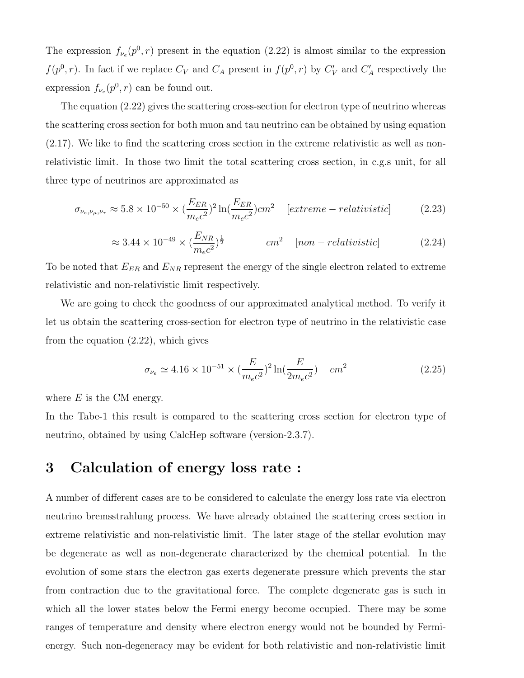The expression  $f_{\nu_e}(p^0, r)$  present in the equation (2.22) is almost similar to the expression  $f(p^{0}, r)$ . In fact if we replace  $C_{V}$  and  $C_{A}$  present in  $f(p^{0}, r)$  by  $C'_{V}$  and  $C'_{A}$  respectively the expression  $f_{\nu_e}(p^0, r)$  can be found out.

The equation (2.22) gives the scattering cross-section for electron type of neutrino whereas the scattering cross section for both muon and tau neutrino can be obtained by using equation (2.17). We like to find the scattering cross section in the extreme relativistic as well as nonrelativistic limit. In those two limit the total scattering cross section, in c.g.s unit, for all three type of neutrinos are approximated as

$$
\sigma_{\nu_e,\nu_\mu,\nu_\tau} \approx 5.8 \times 10^{-50} \times \left(\frac{E_{ER}}{m_e c^2}\right)^2 \ln\left(\frac{E_{ER}}{m_e c^2}\right) cm^2 \quad [extreme - relativistic] \tag{2.23}
$$

$$
\approx 3.44 \times 10^{-49} \times \left(\frac{E_{NR}}{m_e c^2}\right)^{\frac{1}{2}} \qquad \qquad cm^2 \quad [non-relativistic] \tag{2.24}
$$

To be noted that  $E_{ER}$  and  $E_{NR}$  represent the energy of the single electron related to extreme relativistic and non-relativistic limit respectively.

We are going to check the goodness of our approximated analytical method. To verify it let us obtain the scattering cross-section for electron type of neutrino in the relativistic case from the equation (2.22), which gives

$$
\sigma_{\nu_e} \simeq 4.16 \times 10^{-51} \times \left(\frac{E}{m_e c^2}\right)^2 \ln\left(\frac{E}{2m_e c^2}\right) \quad cm^2 \tag{2.25}
$$

where  $E$  is the CM energy.

In the Tabe-1 this result is compared to the scattering cross section for electron type of neutrino, obtained by using CalcHep software (version-2.3.7).

## 3 Calculation of energy loss rate :

A number of different cases are to be considered to calculate the energy loss rate via electron neutrino bremsstrahlung process. We have already obtained the scattering cross section in extreme relativistic and non-relativistic limit. The later stage of the stellar evolution may be degenerate as well as non-degenerate characterized by the chemical potential. In the evolution of some stars the electron gas exerts degenerate pressure which prevents the star from contraction due to the gravitational force. The complete degenerate gas is such in which all the lower states below the Fermi energy become occupied. There may be some ranges of temperature and density where electron energy would not be bounded by Fermienergy. Such non-degeneracy may be evident for both relativistic and non-relativistic limit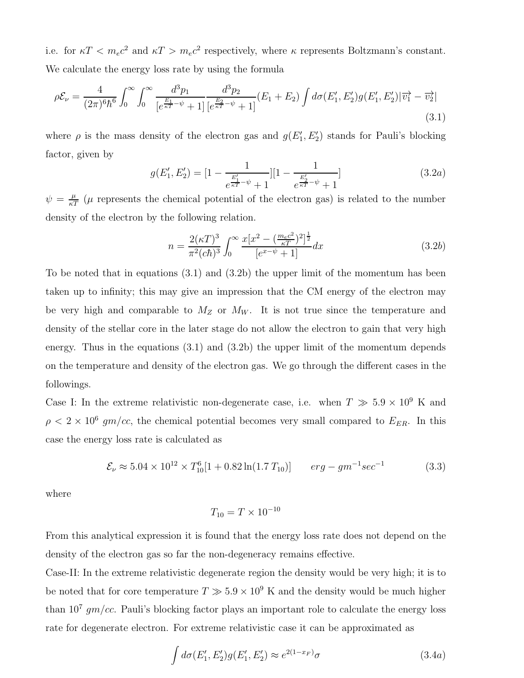i.e. for  $\kappa T < m_e c^2$  and  $\kappa T > m_e c^2$  respectively, where  $\kappa$  represents Boltzmann's constant. We calculate the energy loss rate by using the formula

$$
\rho \mathcal{E}_{\nu} = \frac{4}{(2\pi)^6 \hbar^6} \int_0^{\infty} \int_0^{\infty} \frac{d^3 p_1}{\left[e^{\frac{E_1}{\kappa T} - \psi} + 1\right]} \frac{d^3 p_2}{\left[e^{\frac{E_2}{\kappa T} - \psi} + 1\right]} (E_1 + E_2) \int d\sigma (E'_1, E'_2) g(E'_1, E'_2) |\overrightarrow{v_1} - \overrightarrow{v_2}| \tag{3.1}
$$

where  $\rho$  is the mass density of the electron gas and  $g(E_1)$  $I'_1, E'_2$ ) stands for Pauli's blocking factor, given by

$$
g(E'_1, E'_2) = [1 - \frac{1}{e^{\frac{E'_1}{\kappa T} - \psi} + 1}] [1 - \frac{1}{e^{\frac{E'_2}{\kappa T} - \psi} + 1}]
$$
(3.2*a*)

 $\psi = \frac{\mu}{\kappa T}$  ( $\mu$  represents the chemical potential of the electron gas) is related to the number density of the electron by the following relation.

$$
n = \frac{2(\kappa T)^3}{\pi^2 (c\hbar)^3} \int_0^\infty \frac{x[x^2 - \left(\frac{m_e c^2}{\kappa T}\right)^2]^{\frac{1}{2}}}{[e^{x-\psi} + 1]} dx
$$
 (3.2b)

To be noted that in equations (3.1) and (3.2b) the upper limit of the momentum has been taken up to infinity; this may give an impression that the CM energy of the electron may be very high and comparable to  $M_Z$  or  $M_W$ . It is not true since the temperature and density of the stellar core in the later stage do not allow the electron to gain that very high energy. Thus in the equations (3.1) and (3.2b) the upper limit of the momentum depends on the temperature and density of the electron gas. We go through the different cases in the followings.

Case I: In the extreme relativistic non-degenerate case, i.e. when  $T \gg 5.9 \times 10^9$  K and  $\rho < 2 \times 10^6$  gm/cc, the chemical potential becomes very small compared to  $E_{ER}$ . In this case the energy loss rate is calculated as

$$
\mathcal{E}_{\nu} \approx 5.04 \times 10^{12} \times T_{10}^{6} [1 + 0.82 \ln(1.7 T_{10})] \qquad erg - gm^{-1} sec^{-1}
$$
 (3.3)

where

$$
T_{10} = T \times 10^{-10}
$$

From this analytical expression it is found that the energy loss rate does not depend on the density of the electron gas so far the non-degeneracy remains effective.

Case-II: In the extreme relativistic degenerate region the density would be very high; it is to be noted that for core temperature  $T \gg 5.9 \times 10^9$  K and the density would be much higher than  $10^7$  gm/cc. Pauli's blocking factor plays an important role to calculate the energy loss rate for degenerate electron. For extreme relativistic case it can be approximated as

$$
\int d\sigma (E'_1, E'_2) g(E'_1, E'_2) \approx e^{2(1 - x_F)} \sigma
$$
\n(3.4a)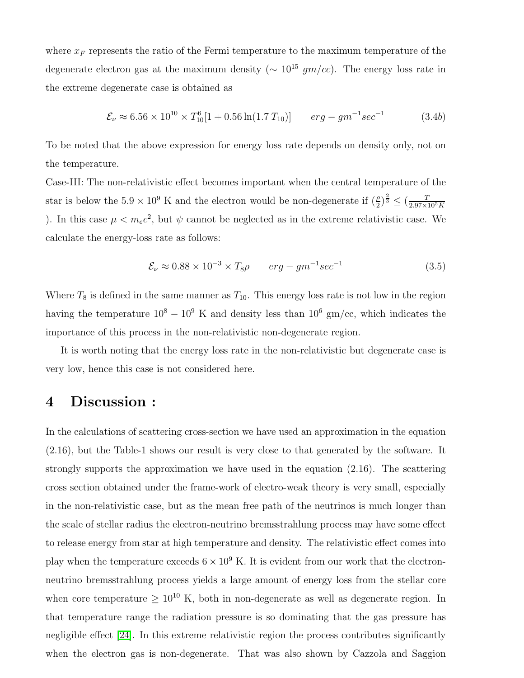where  $x_F$  represents the ratio of the Fermi temperature to the maximum temperature of the degenerate electron gas at the maximum density ( $\sim 10^{15}$  gm/cc). The energy loss rate in the extreme degenerate case is obtained as

$$
\mathcal{E}_{\nu} \approx 6.56 \times 10^{10} \times T_{10}^{6} [1 + 0.56 \ln(1.7 T_{10})] \qquad erg - gm^{-1} sec^{-1} \tag{3.4b}
$$

To be noted that the above expression for energy loss rate depends on density only, not on the temperature.

Case-III: The non-relativistic effect becomes important when the central temperature of the star is below the  $5.9 \times 10^9$  K and the electron would be non-degenerate if  $(\frac{\rho}{2})^{\frac{2}{3}} \leq (\frac{T}{2.97 \times 10^5 K})$ ). In this case  $\mu < m_e c^2$ , but  $\psi$  cannot be neglected as in the extreme relativistic case. We calculate the energy-loss rate as follows:

$$
\mathcal{E}_{\nu} \approx 0.88 \times 10^{-3} \times T_8 \rho \qquad erg - gm^{-1} sec^{-1} \tag{3.5}
$$

Where  $T_8$  is defined in the same manner as  $T_{10}$ . This energy loss rate is not low in the region having the temperature  $10^8 - 10^9$  K and density less than  $10^6$  gm/cc, which indicates the importance of this process in the non-relativistic non-degenerate region.

It is worth noting that the energy loss rate in the non-relativistic but degenerate case is very low, hence this case is not considered here.

#### 4 Discussion :

In the calculations of scattering cross-section we have used an approximation in the equation (2.16), but the Table-1 shows our result is very close to that generated by the software. It strongly supports the approximation we have used in the equation (2.16). The scattering cross section obtained under the frame-work of electro-weak theory is very small, especially in the non-relativistic case, but as the mean free path of the neutrinos is much longer than the scale of stellar radius the electron-neutrino bremsstrahlung process may have some effect to release energy from star at high temperature and density. The relativistic effect comes into play when the temperature exceeds  $6 \times 10^9$  K. It is evident from our work that the electronneutrino bremsstrahlung process yields a large amount of energy loss from the stellar core when core temperature  $\geq 10^{10}$  K, both in non-degenerate as well as degenerate region. In that temperature range the radiation pressure is so dominating that the gas pressure has negligible effect [\[24\]](#page-12-1). In this extreme relativistic region the process contributes significantly when the electron gas is non-degenerate. That was also shown by Cazzola and Saggion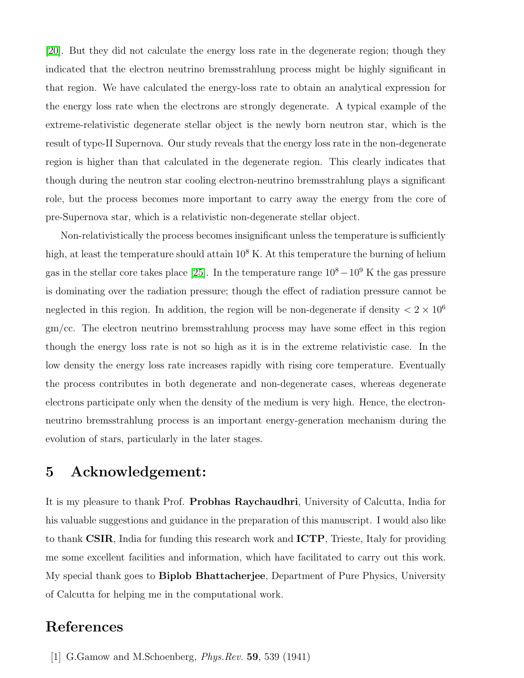[\[20\]](#page-11-18). But they did not calculate the energy loss rate in the degenerate region; though they indicated that the electron neutrino bremsstrahlung process might be highly significant in that region. We have calculated the energy-loss rate to obtain an analytical expression for the energy loss rate when the electrons are strongly degenerate. A typical example of the extreme-relativistic degenerate stellar object is the newly born neutron star, which is the result of type-II Supernova. Our study reveals that the energy loss rate in the non-degenerate region is higher than that calculated in the degenerate region. This clearly indicates that though during the neutron star cooling electron-neutrino bremsstrahlung plays a significant role, but the process becomes more important to carry away the energy from the core of pre-Supernova star, which is a relativistic non-degenerate stellar object.

Non-relativistically the process becomes insignificant unless the temperature is sufficiently high, at least the temperature should attain  $10^8$  K. At this temperature the burning of helium gas in the stellar core takes place [\[25\]](#page-12-2). In the temperature range  $10^8 - 10^9$  K the gas pressure is dominating over the radiation pressure; though the effect of radiation pressure cannot be neglected in this region. In addition, the region will be non-degenerate if density  $\langle 2 \times 10^6 \rangle$ gm/cc. The electron neutrino bremsstrahlung process may have some effect in this region though the energy loss rate is not so high as it is in the extreme relativistic case. In the low density the energy loss rate increases rapidly with rising core temperature. Eventually the process contributes in both degenerate and non-degenerate cases, whereas degenerate electrons participate only when the density of the medium is very high. Hence, the electronneutrino bremsstrahlung process is an important energy-generation mechanism during the evolution of stars, particularly in the later stages.

#### 5 Acknowledgement:

It is my pleasure to thank Prof. Probhas Raychaudhri, University of Calcutta, India for his valuable suggestions and guidance in the preparation of this manuscript. I would also like to thank CSIR, India for funding this research work and ICTP, Trieste, Italy for providing me some excellent facilities and information, which have facilitated to carry out this work. My special thank goes to **Biplob Bhattacherjee**, Department of Pure Physics, University of Calcutta for helping me in the computational work.

#### <span id="page-10-0"></span>References

[1] G.Gamow and M.Schoenberg, Phys.Rev. 59, 539 (1941)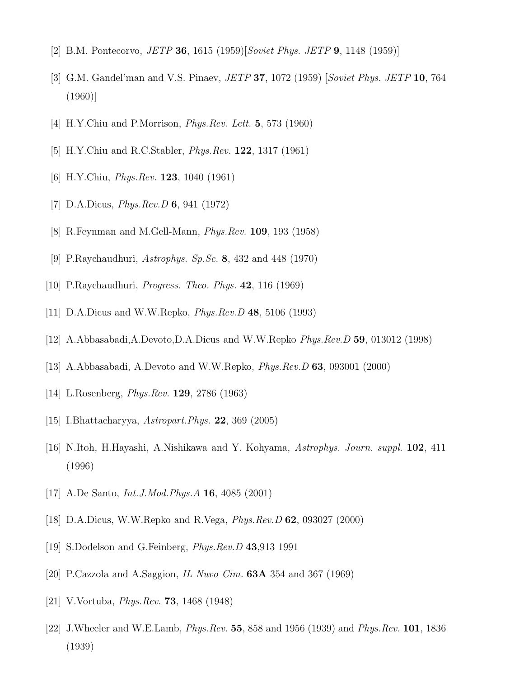- <span id="page-11-1"></span><span id="page-11-0"></span>[2] B.M. Pontecorvo, *JETP* **36**, 1615 (1959)[*Soviet Phys. JETP* **9**, 1148 (1959)]
- <span id="page-11-2"></span>[3] G.M. Gandel'man and V.S. Pinaev, JETP 37, 1072 (1959) [Soviet Phys. JETP 10, 764 (1960)]
- <span id="page-11-3"></span>[4] H.Y.Chiu and P.Morrison, *Phys.Rev. Lett.* **5**, 573 (1960)
- <span id="page-11-4"></span>[5] H.Y.Chiu and R.C.Stabler, Phys.Rev. 122, 1317 (1961)
- <span id="page-11-5"></span>[6] H.Y.Chiu, *Phys.Rev.* **123**, 1040 (1961)
- <span id="page-11-6"></span>[7] D.A.Dicus, Phys.Rev.D 6, 941 (1972)
- <span id="page-11-7"></span>[8] R.Feynman and M.Gell-Mann, Phys.Rev. 109, 193 (1958)
- <span id="page-11-8"></span>[9] P.Raychaudhuri, Astrophys. Sp.Sc. 8, 432 and 448 (1970)
- <span id="page-11-9"></span>[10] P.Raychaudhuri, *Progress. Theo. Phys.*  $42$ , 116 (1969)
- <span id="page-11-10"></span>[11] D.A.Dicus and W.W.Repko, Phys.Rev.D 48, 5106 (1993)
- <span id="page-11-11"></span>[12] A.Abbasabadi,A.Devoto,D.A.Dicus and W.W.Repko Phys.Rev.D 59, 013012 (1998)
- <span id="page-11-12"></span>[13] A.Abbasabadi, A.Devoto and W.W.Repko, Phys.Rev.D 63, 093001 (2000)
- <span id="page-11-13"></span>[14] L.Rosenberg, Phys.Rev. 129, 2786 (1963)
- <span id="page-11-14"></span>[15] I.Bhattacharyya, Astropart.Phys. 22, 369 (2005)
- <span id="page-11-15"></span>[16] N.Itoh, H.Hayashi, A.Nishikawa and Y. Kohyama, Astrophys. Journ. suppl. 102, 411 (1996)
- <span id="page-11-16"></span>[17] A.De Santo, *Int.J.Mod.Phys.A* **16**, 4085 (2001)
- <span id="page-11-17"></span>[18] D.A.Dicus, W.W.Repko and R.Vega, Phys.Rev.D 62, 093027 (2000)
- <span id="page-11-18"></span>[19] S.Dodelson and G.Feinberg, *Phys.Rev.D* 43,913 1991
- <span id="page-11-19"></span>[20] P.Cazzola and A.Saggion, IL Nuvo Cim. 63A 354 and 367 (1969)
- <span id="page-11-20"></span>[21] V.Vortuba, Phys.Rev. 73, 1468 (1948)
- [22] J.Wheeler and W.E.Lamb, Phys.Rev. 55, 858 and 1956 (1939) and Phys.Rev. 101, 1836 (1939)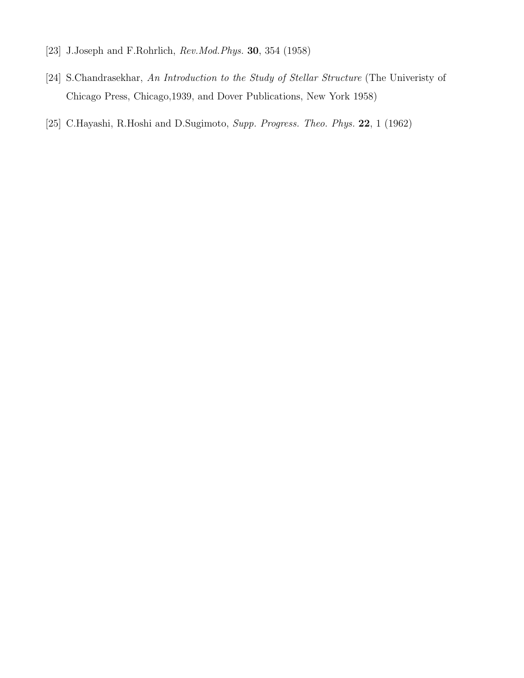- <span id="page-12-1"></span><span id="page-12-0"></span>[23] J.Joseph and F.Rohrlich, *Rev.Mod.Phys.* **30**, 354 (1958)
- <span id="page-12-2"></span>[24] S.Chandrasekhar, An Introduction to the Study of Stellar Structure (The Univeristy of Chicago Press, Chicago,1939, and Dover Publications, New York 1958)
- [25] C.Hayashi, R.Hoshi and D.Sugimoto, Supp. Progress. Theo. Phys. 22, 1 (1962)